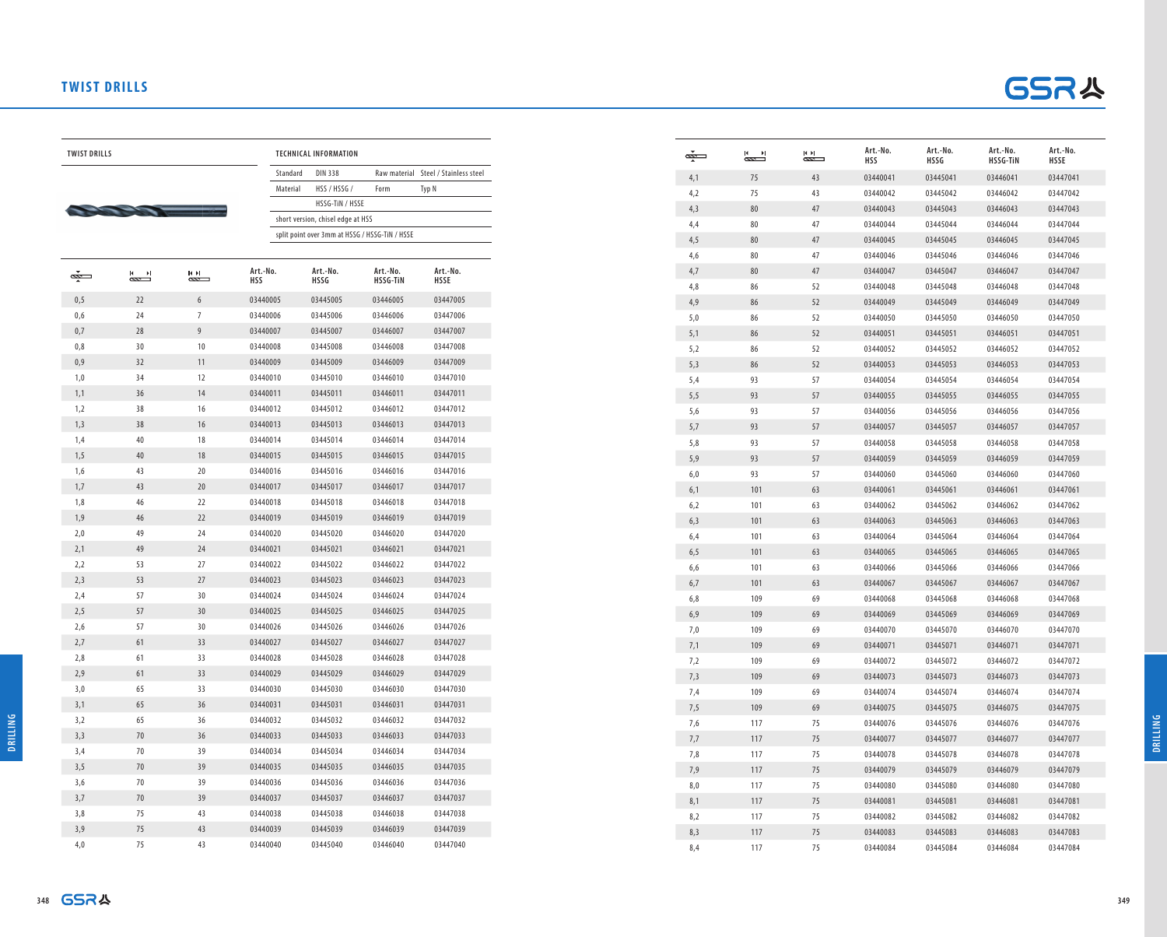## **TWIST DRILLS**



 $TWIST DRILLS$ 



| <b>TECHNICAL INFORMATION</b> |                                                |                             |                                      |  |  |  |  |
|------------------------------|------------------------------------------------|-----------------------------|--------------------------------------|--|--|--|--|
| Standard                     | <b>DIN 338</b>                                 |                             | Raw material Steel / Stainless steel |  |  |  |  |
| Material                     | HSS / HSSG /                                   | Form                        | Typ N                                |  |  |  |  |
|                              | HSSG-TIN / HSSE                                |                             |                                      |  |  |  |  |
|                              | short version, chisel edge at HSS              |                             |                                      |  |  |  |  |
|                              | split point over 3mm at HSSG / HSSG-TIN / HSSE |                             |                                      |  |  |  |  |
|                              |                                                |                             |                                      |  |  |  |  |
| 0.                           | Art.-No.<br>HSSG                               | Art.-No.<br><b>HSSG-TIN</b> | Art.-No.<br><b>HSSE</b>              |  |  |  |  |
| 005                          | 03445005                                       | 03446005                    | 03447005                             |  |  |  |  |
|                              |                                                |                             |                                      |  |  |  |  |

| Ø   | Ħ  | ИN | Art.-No.<br><b>HSS</b> | Art.-No.<br><b>HSSG</b> | Art.-No.<br><b>HSSG-TIN</b> | Art.-No.<br><b>HSSE</b> |
|-----|----|----|------------------------|-------------------------|-----------------------------|-------------------------|
| 0,5 | 22 | 6  | 03440005               | 03445005                | 03446005                    | 03447005                |
| 0,6 | 24 | 7  | 03440006               | 03445006                | 03446006                    | 03447006                |
| 0,7 | 28 | 9  | 03440007               | 03445007                | 03446007                    | 03447007                |
| 0,8 | 30 | 10 | 03440008               | 03445008                | 03446008                    | 03447008                |
| 0,9 | 32 | 11 | 03440009               | 03445009                | 03446009                    | 03447009                |
| 1,0 | 34 | 12 | 03440010               | 03445010                | 03446010                    | 03447010                |
| 1,1 | 36 | 14 | 03440011               | 03445011                | 03446011                    | 03447011                |
| 1,2 | 38 | 16 | 03440012               | 03445012                | 03446012                    | 03447012                |
| 1,3 | 38 | 16 | 03440013               | 03445013                | 03446013                    | 03447013                |
| 1,4 | 40 | 18 | 03440014               | 03445014                | 03446014                    | 03447014                |
| 1,5 | 40 | 18 | 03440015               | 03445015                | 03446015                    | 03447015                |
| 1,6 | 43 | 20 | 03440016               | 03445016                | 03446016                    | 03447016                |
| 1,7 | 43 | 20 | 03440017               | 03445017                | 03446017                    | 03447017                |
| 1,8 | 46 | 22 | 03440018               | 03445018                | 03446018                    | 03447018                |
| 1,9 | 46 | 22 | 03440019               | 03445019                | 03446019                    | 03447019                |
| 2,0 | 49 | 24 | 03440020               | 03445020                | 03446020                    | 03447020                |
| 2,1 | 49 | 24 | 03440021               | 03445021                | 03446021                    | 03447021                |
| 2,2 | 53 | 27 | 03440022               | 03445022                | 03446022                    | 03447022                |
| 2,3 | 53 | 27 | 03440023               | 03445023                | 03446023                    | 03447023                |
| 2,4 | 57 | 30 | 03440024               | 03445024                | 03446024                    | 03447024                |
| 2,5 | 57 | 30 | 03440025               | 03445025                | 03446025                    | 03447025                |
| 2,6 | 57 | 30 | 03440026               | 03445026                | 03446026                    | 03447026                |
| 2,7 | 61 | 33 | 03440027               | 03445027                | 03446027                    | 03447027                |
| 2,8 | 61 | 33 | 03440028               | 03445028                | 03446028                    | 03447028                |
| 2,9 | 61 | 33 | 03440029               | 03445029                | 03446029                    | 03447029                |
| 3,0 | 65 | 33 | 03440030               | 03445030                | 03446030                    | 03447030                |
| 3,1 | 65 | 36 | 03440031               | 03445031                | 03446031                    | 03447031                |
| 3,2 | 65 | 36 | 03440032               | 03445032                | 03446032                    | 03447032                |
| 3,3 | 70 | 36 | 03440033               | 03445033                | 03446033                    | 03447033                |
| 3,4 | 70 | 39 | 03440034               | 03445034                | 03446034                    | 03447034                |
| 3,5 | 70 | 39 | 03440035               | 03445035                | 03446035                    | 03447035                |
| 3,6 | 70 | 39 | 03440036               | 03445036                | 03446036                    | 03447036                |
| 3,7 | 70 | 39 | 03440037               | 03445037                | 03446037                    | 03447037                |
| 3,8 | 75 | 43 | 03440038               | 03445038                | 03446038                    | 03447038                |
| 3,9 | 75 | 43 | 03440039               | 03445039                | 03446039                    | 03447039                |
| 4,0 | 75 | 43 | 03440040               | 03445040                | 03446040                    | 03447040                |

| ضت  | и<br>᠊ | КH<br>N | Art.-No.<br><b>HSS</b> | Art.-No.<br><b>HSSG</b> | Art.-No.<br><b>HSSG-TIN</b> | Art.-No.<br><b>HSSE</b> |
|-----|--------|---------|------------------------|-------------------------|-----------------------------|-------------------------|
| 4,1 | 75     | 43      | 03440041               | 03445041                | 03446041                    | 03447041                |
| 4,2 | 75     | 43      | 03440042               | 03445042                | 03446042                    | 03447042                |
| 4,3 | 80     | 47      | 03440043               | 03445043                | 03446043                    | 03447043                |
| 4,4 | 80     | 47      | 03440044               | 03445044                | 03446044                    | 03447044                |
| 4,5 | 80     | 47      | 03440045               | 03445045                | 03446045                    | 03447045                |
| 4,6 | 80     | 47      | 03440046               | 03445046                | 03446046                    | 03447046                |
| 4,7 | 80     | 47      | 03440047               | 03445047                | 03446047                    | 03447047                |
| 4,8 | 86     | 52      | 03440048               | 03445048                | 03446048                    | 03447048                |
| 4,9 | 86     | 52      | 03440049               | 03445049                | 03446049                    | 03447049                |
| 5,0 | 86     | 52      | 03440050               | 03445050                | 03446050                    | 03447050                |
| 5,1 | 86     | 52      | 03440051               | 03445051                | 03446051                    | 03447051                |
| 5,2 | 86     | 52      | 03440052               | 03445052                | 03446052                    | 03447052                |
| 5,3 | 86     | 52      | 03440053               | 03445053                | 03446053                    | 03447053                |
| 5,4 | 93     | 57      | 03440054               | 03445054                | 03446054                    | 03447054                |
| 5,5 | 93     | 57      | 03440055               | 03445055                | 03446055                    | 03447055                |
| 5,6 | 93     | 57      | 03440056               | 03445056                | 03446056                    | 03447056                |
| 5,7 | 93     | 57      | 03440057               | 03445057                | 03446057                    | 03447057                |
| 5,8 | 93     | 57      | 03440058               | 03445058                | 03446058                    | 03447058                |
| 5,9 | 93     | 57      | 03440059               | 03445059                | 03446059                    | 03447059                |
| 6,0 | 93     | 57      | 03440060               | 03445060                | 03446060                    | 03447060                |
| 6,1 | 101    | 63      | 03440061               | 03445061                | 03446061                    | 03447061                |
| 6,2 | 101    | 63      | 03440062               | 03445062                | 03446062                    | 03447062                |
| 6,3 | 101    | 63      | 03440063               | 03445063                | 03446063                    | 03447063                |
| 6,4 | 101    | 63      | 03440064               | 03445064                | 03446064                    | 03447064                |
| 6,5 | 101    | 63      | 03440065               | 03445065                | 03446065                    | 03447065                |
| 6,6 | 101    | 63      | 03440066               | 03445066                | 03446066                    | 03447066                |
| 6,7 | 101    | 63      | 03440067               | 03445067                | 03446067                    | 03447067                |
| 6,8 | 109    | 69      | 03440068               | 03445068                | 03446068                    | 03447068                |
| 6,9 | 109    | 69      | 03440069               | 03445069                | 03446069                    | 03447069                |
| 7,0 | 109    | 69      | 03440070               | 03445070                | 03446070                    | 03447070                |
| 7,1 | 109    | 69      | 03440071               | 03445071                | 03446071                    | 03447071                |
| 7,2 | 109    | 69      | 03440072               | 03445072                | 03446072                    | 03447072                |
| 7,3 | 109    | 69      | 03440073               | 03445073                | 03446073                    | 03447073                |
| 7,4 | 109    | 69      | 03440074               | 03445074                | 03446074                    | 03447074                |
| 7,5 | 109    | 69      | 03440075               | 03445075                | 03446075                    | 03447075                |
| 7,6 | 117    | 75      | 03440076               | 03445076                | 03446076                    | 03447076                |
| 7,7 | 117    | 75      | 03440077               | 03445077                | 03446077                    | 03447077                |
| 7,8 | 117    | 75      | 03440078               | 03445078                | 03446078                    | 03447078                |
| 7,9 | 117    | 75      | 03440079               | 03445079                | 03446079                    | 03447079                |
| 8,0 | 117    | 75      | 03440080               | 03445080                | 03446080                    | 03447080                |
| 8,1 | 117    | 75      | 03440081               | 03445081                | 03446081                    | 03447081                |
| 8,2 | 117    | 75      | 03440082               | 03445082                | 03446082                    | 03447082                |
| 8,3 | 117    | 75      | 03440083               | 03445083                | 03446083                    | 03447083                |
| 8,4 | 117    | 75      | 03440084               | 03445084                | 03446084                    | 03447084                |
|     |        |         |                        |                         |                             |                         |

**DRILLING**